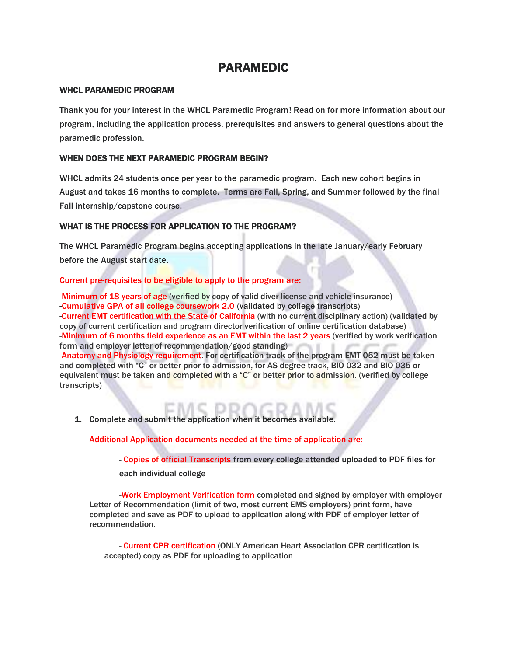# PARAMEDIC

## WHCL PARAMEDIC PROGRAM

Thank you for your interest in the WHCL Paramedic Program! Read on for more information about our program, including the application process, prerequisites and answers to general questions about the paramedic profession.

## WHEN DOES THE NEXT PARAMEDIC PROGRAM BEGIN?

WHCL admits 24 students once per year to the paramedic program. Each new cohort begins in August and takes 16 months to complete. Terms are Fall, Spring, and Summer followed by the final Fall internship/capstone course.

## WHAT IS THE PROCESS FOR APPLICATION TO THE PROGRAM?

The WHCL Paramedic Program begins accepting applications in the late January/early February before the August start date.

Current pre-requisites to be eligible to apply to the program are:

-Minimum of 18 years of age (verified by copy of valid diver license and vehicle insurance) -Cumulative GPA of all college coursework 2.0 (validated by college transcripts) -Current EMT certification with the State of California (with no current disciplinary action) (validated by copy of current certification and program director verification of online certification database) -Minimum of 6 months field experience as an EMT within the last 2 years (verified by work verification form and employer letter of recommendation/good standing) -Anatomy and Physiology requirement. For certification track of the program EMT 052 must be taken and completed with "C" or better prior to admission, for AS degree track, BIO 032 and BIO 035 or equivalent must be taken and completed with a "C" or better prior to admission. (verified by college transcripts)

1. Complete and submit the application when it becomes available.

Additional Application documents needed at the time of application are:

- Copies of official Transcripts from every college attended uploaded to PDF files for

each individual college

-Work Employment Verification form completed and signed by employer with employer Letter of Recommendation (limit of two, most current EMS employers) print form, have completed and save as PDF to upload to application along with PDF of employer letter of recommendation.

- Current CPR certification (ONLY American Heart Association CPR certification is accepted) copy as PDF for uploading to application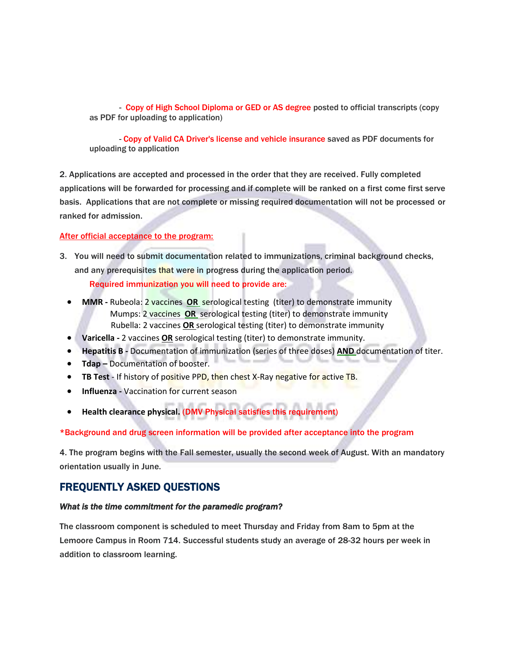- Copy of High School Diploma or GED or AS degree posted to official transcripts (copy as PDF for uploading to application)

- Copy of Valid CA Driver's license and vehicle insurance saved as PDF documents for uploading to application

2. Applications are accepted and processed in the order that they are received. Fully completed applications will be forwarded for processing and if complete will be ranked on a first come first serve basis. Applications that are not complete or missing required documentation will not be processed or ranked for admission.

## After official acceptance to the program:

- 3. You will need to submit documentation related to immunizations, criminal background checks, and any prerequisites that were in progress during the application period. Required immunization you will need to provide are:
	- **MMR -** Rubeola: 2 vaccines **OR** serological testing (titer) to demonstrate immunity Mumps: 2 vaccines **OR** serological testing (titer) to demonstrate immunity Rubella: 2 vaccines **OR** serological testing (titer) to demonstrate immunity
	- **Varicella -** 2 vaccines **OR** serological testing (titer) to demonstrate immunity.
	- **Hepatitis B -** Documentation of immunization (series of three doses) **AND** documentation of titer.
	- **Tdap –** Documentation of booster.
	- **TB Test** If history of positive PPD, then chest X-Ray negative for active TB.
	- **Influenza -** Vaccination for current season
	- **Health clearance physical.** (DMV Physical satisfies this requirement)

## \*Background and drug screen information will be provided after acceptance into the program

4. The program begins with the Fall semester, usually the second week of August. With an mandatory orientation usually in June.

## FREQUENTLY ASKED QUESTIONS

## *What is the time commitment for the paramedic program?*

The classroom component is scheduled to meet Thursday and Friday from 8am to 5pm at the Lemoore Campus in Room 714. Successful students study an average of 28-32 hours per week in addition to classroom learning.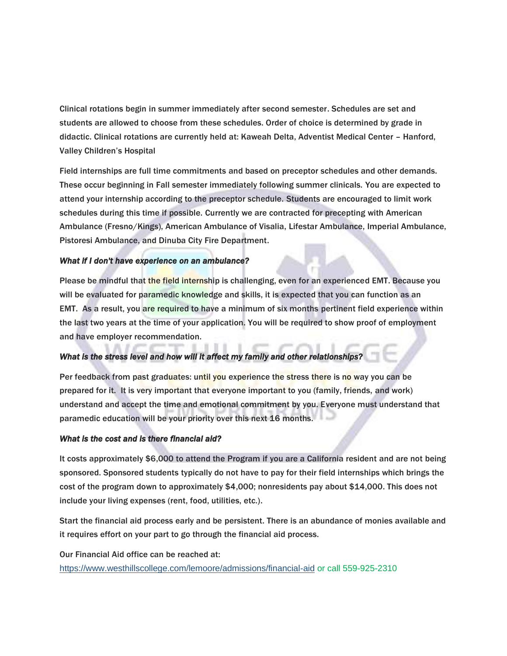Clinical rotations begin in summer immediately after second semester. Schedules are set and students are allowed to choose from these schedules. Order of choice is determined by grade in didactic. Clinical rotations are currently held at: Kaweah Delta, Adventist Medical Center – Hanford, Valley Children's Hospital

Field internships are full time commitments and based on preceptor schedules and other demands. These occur beginning in Fall semester immediately following summer clinicals. You are expected to attend your internship according to the preceptor schedule. Students are encouraged to limit work schedules during this time if possible. Currently we are contracted for precepting with American Ambulance (Fresno/Kings), American Ambulance of Visalia, Lifestar Ambulance, Imperial Ambulance, Pistoresi Ambulance, and Dinuba City Fire Department.

## *What if I don't have experience on an ambulance?*

Please be mindful that the field internship is challenging, even for an experienced EMT. Because you will be evaluated for paramedic knowledge and skills, it is expected that you can function as an EMT. As a result, you are required to have a minimum of six months pertinent field experience within the last two years at the time of your application. You will be required to show proof of employment and have employer recommendation.

## *What is the stress level and how will it affect my family and other relationships?*

Per feedback from past graduates: until you experience the stress there is no way you can be prepared for it. It is very important that everyone important to you (family, friends, and work) understand and accept the time and emotional commitment by you. Everyone must understand that paramedic education will be your priority over this next 16 months.

## *What is the cost and is there financial aid?*

It costs approximately \$6,000 to attend the Program if you are a California resident and are not being sponsored. Sponsored students typically do not have to pay for their field internships which brings the cost of the program down to approximately \$4,000; nonresidents pay about \$14,000. This does not include your living expenses (rent, food, utilities, etc.).

Start the financial aid process early and be persistent. There is an abundance of monies available and it requires effort on your part to go through the financial aid process.

Our Financial Aid office can be reached at:

<https://www.westhillscollege.com/lemoore/admissions/financial-aid> or call 559-925-2310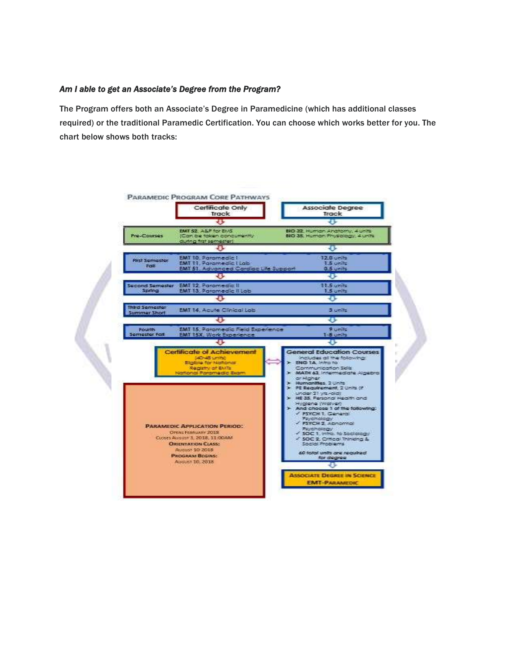## *Am I able to get an Associate's Degree from the Program?*

The Program offers both an Associate's Degree in Paramedicine (which has additional classes required) or the traditional Paramedic Certification. You can choose which works better for you. The chart below shows both tracks: